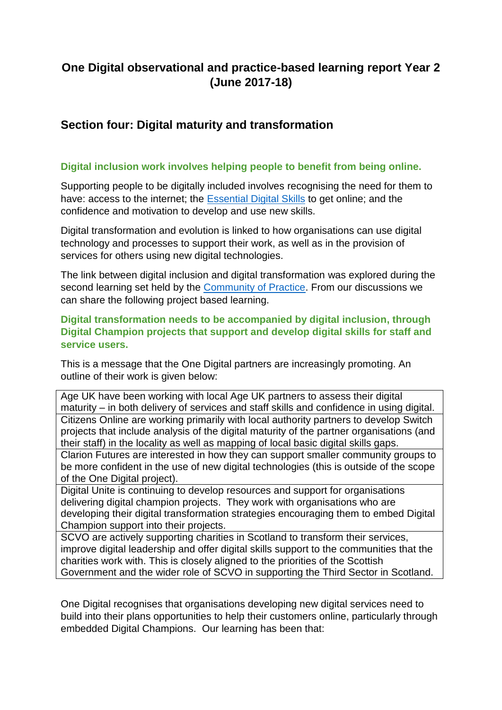# **One Digital observational and practice-based learning report Year 2 (June 2017-18)**

### **Section four: Digital maturity and transformation**

#### **Digital inclusion work involves helping people to benefit from being online.**

Supporting people to be digitally included involves recognising the need for them to have: access to the internet; the [Essential Digital Skills](https://www.gov.uk/government/publications/essential-digital-skills-framework/essential-digital-skills-framework) to get online; and the confidence and motivation to develop and use new skills.

Digital transformation and evolution is linked to how organisations can use digital technology and processes to support their work, as well as in the provision of services for others using new digital technologies.

The link between digital inclusion and digital transformation was explored during the second learning set held by the [Community of Practice.](https://onedigitaluk.com/community-of-practice/about/) From our discussions we can share the following project based learning.

**Digital transformation needs to be accompanied by digital inclusion, through Digital Champion projects that support and develop digital skills for staff and service users.** 

This is a message that the One Digital partners are increasingly promoting. An outline of their work is given below:

Age UK have been working with local Age UK partners to assess their digital maturity – in both delivery of services and staff skills and confidence in using digital. Citizens Online are working primarily with local authority partners to develop Switch projects that include analysis of the digital maturity of the partner organisations (and their staff) in the locality as well as mapping of local basic digital skills gaps.

Clarion Futures are interested in how they can support smaller community groups to be more confident in the use of new digital technologies (this is outside of the scope of the One Digital project).

Digital Unite is continuing to develop resources and support for organisations delivering digital champion projects. They work with organisations who are developing their digital transformation strategies encouraging them to embed Digital Champion support into their projects.

SCVO are actively supporting charities in Scotland to transform their services, improve digital leadership and offer digital skills support to the communities that the charities work with. This is closely aligned to the priorities of the Scottish Government and the wider role of SCVO in supporting the Third Sector in Scotland.

One Digital recognises that organisations developing new digital services need to build into their plans opportunities to help their customers online, particularly through embedded Digital Champions. Our learning has been that: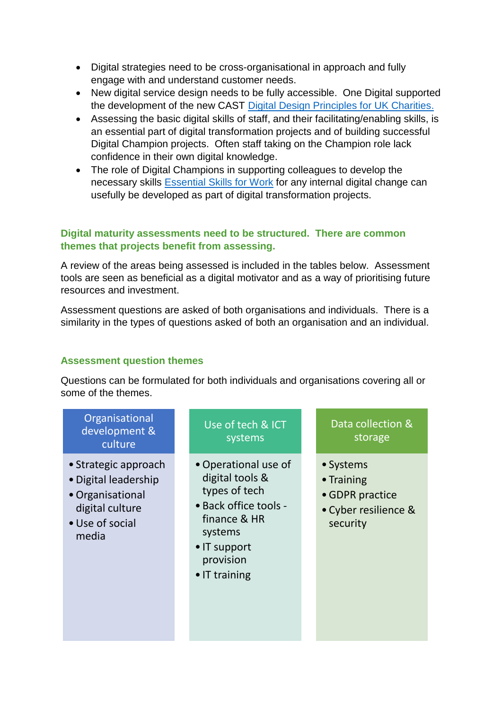- Digital strategies need to be cross-organisational in approach and fully engage with and understand customer needs.
- New digital service design needs to be fully accessible. One Digital supported the development of the new CAST [Digital Design Principles for UK Charities.](https://medium.com/@wearecast/10-digital-design-principles-to-help-uk-charities-build-betterdigitalservices-b5e990d1e1b9)
- Assessing the basic digital skills of staff, and their facilitating/enabling skills, is an essential part of digital transformation projects and of building successful Digital Champion projects. Often staff taking on the Champion role lack confidence in their own digital knowledge.
- The role of Digital Champions in supporting colleagues to develop the necessary skills [Essential Skills for Work](https://www.sqa.org.uk/sqa/75022.html) for any internal digital change can usefully be developed as part of digital transformation projects.

#### **Digital maturity assessments need to be structured. There are common themes that projects benefit from assessing.**

A review of the areas being assessed is included in the tables below. Assessment tools are seen as beneficial as a digital motivator and as a way of prioritising future resources and investment.

Assessment questions are asked of both organisations and individuals. There is a similarity in the types of questions asked of both an organisation and an individual.

### **Assessment question themes**

Questions can be formulated for both individuals and organisations covering all or some of the themes.

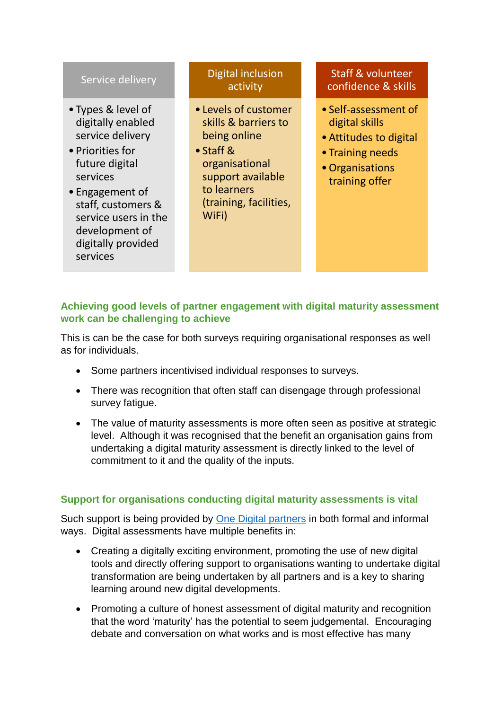### Service delivery

- Types & level of digitally enabled service delivery
- Priorities for future digital services
- Engagement of staff, customers & service users in the development of digitally provided services

## Digital inclusion activity

- Levels of customer skills & barriers to being online
- Staff & organisational support available to learners (training, facilities, WiFi)

### Staff & volunteer confidence & skills

- Self-assessment of digital skills
- •Attitudes to digital
- Training needs
- •Organisations training offer

### **Achieving good levels of partner engagement with digital maturity assessment work can be challenging to achieve**

This is can be the case for both surveys requiring organisational responses as well as for individuals.

- Some partners incentivised individual responses to surveys.
- There was recognition that often staff can disengage through professional survey fatigue.
- The value of maturity assessments is more often seen as positive at strategic level. Although it was recognised that the benefit an organisation gains from undertaking a digital maturity assessment is directly linked to the level of commitment to it and the quality of the inputs.

### **Support for organisations conducting digital maturity assessments is vital**

Such support is being provided by [One Digital partners](https://onedigitaluk.com/projects/) in both formal and informal ways. Digital assessments have multiple benefits in:

- Creating a digitally exciting environment, promoting the use of new digital tools and directly offering support to organisations wanting to undertake digital transformation are being undertaken by all partners and is a key to sharing learning around new digital developments.
- Promoting a culture of honest assessment of digital maturity and recognition that the word 'maturity' has the potential to seem judgemental. Encouraging debate and conversation on what works and is most effective has many